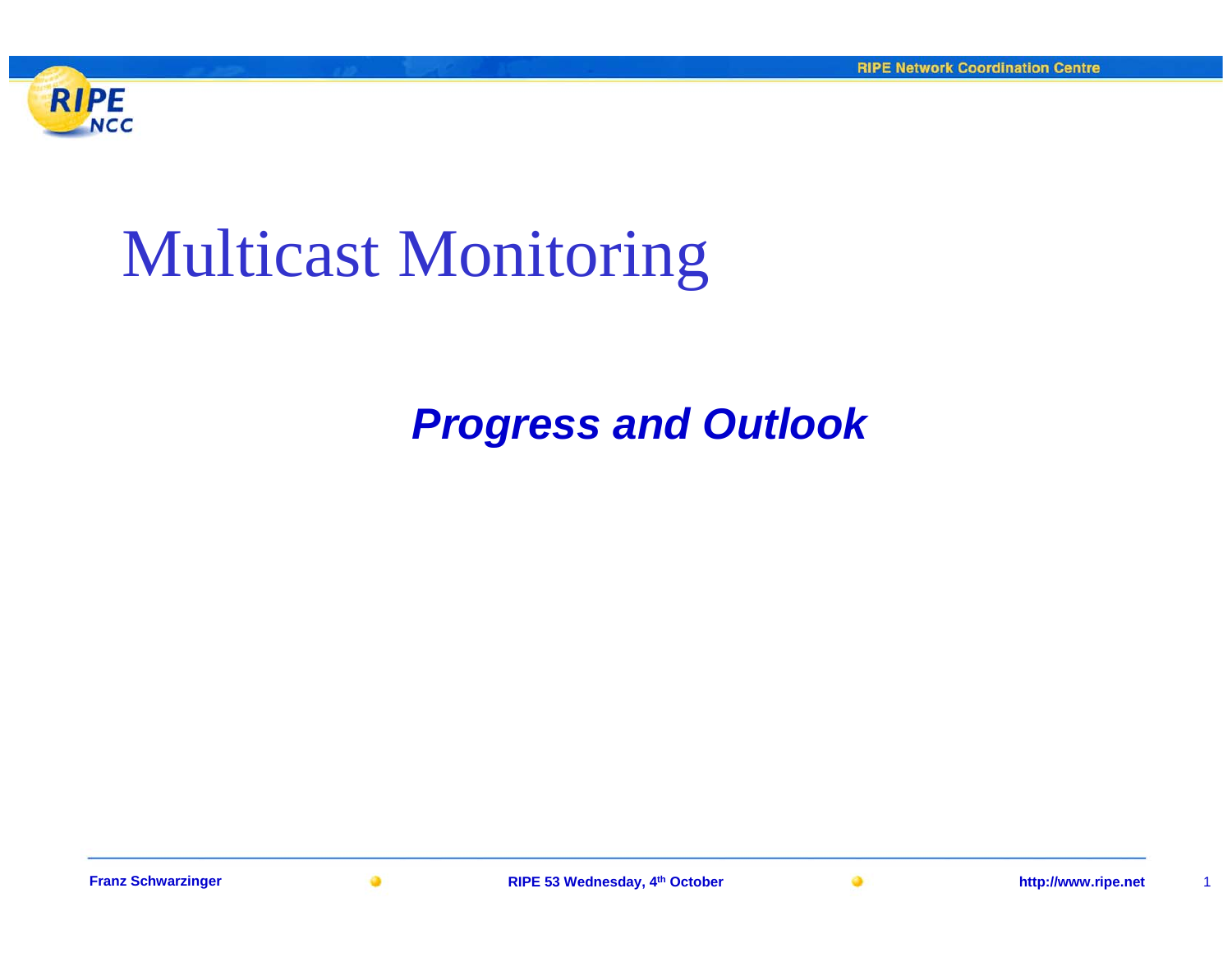

## Multicast Monitoring

### *Progress and Outlook*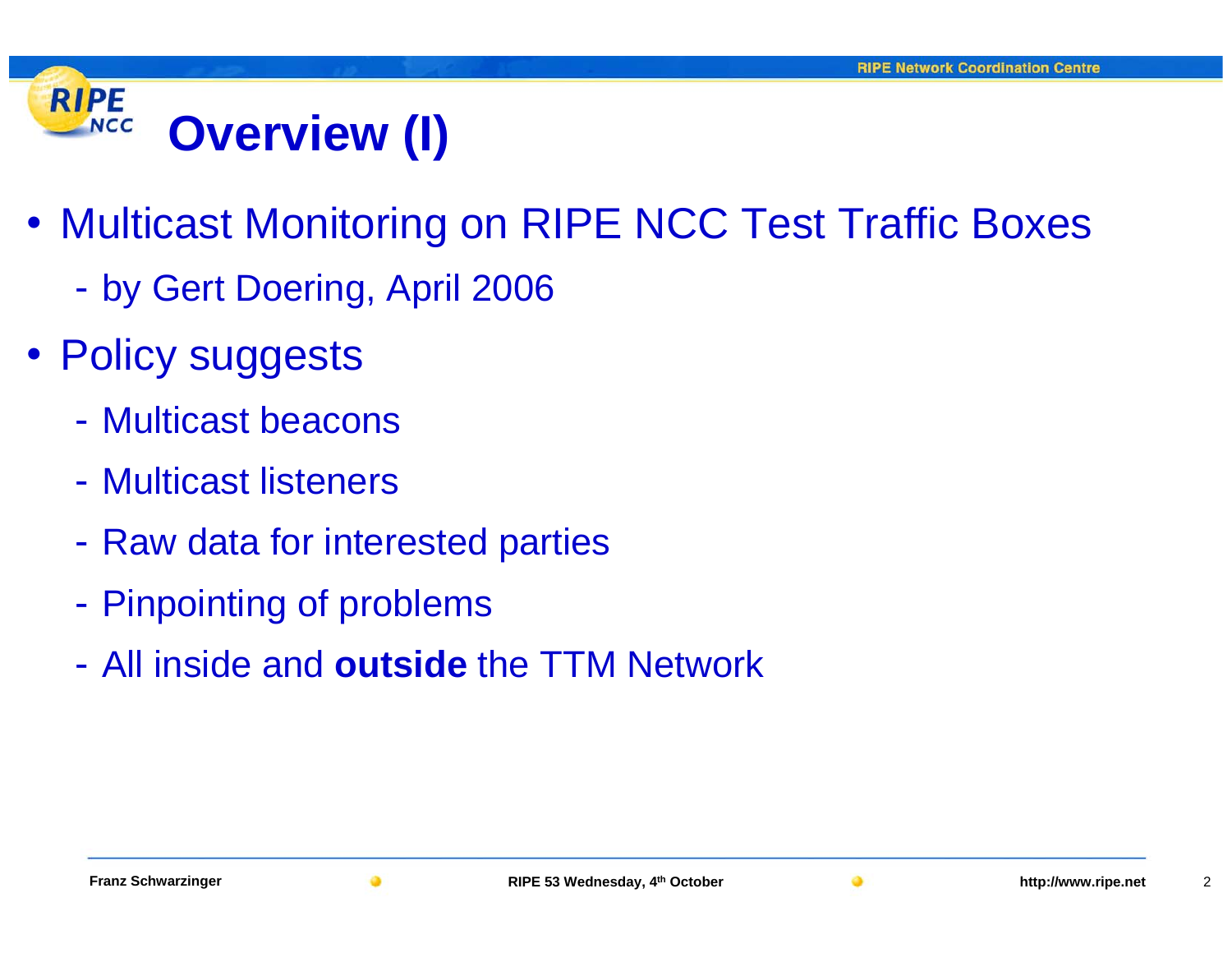#### **RIPE NCC Overview (I)**

- Multicast Monitoring on RIPE NCC Test Traffic Boxes
	- by Gert Doering, April 2006
- Policy suggests
	- Multicast beacons
	- Multicast listeners
	- -- Raw data for interested parties
	- -- Pinpointing of problems
	- All inside and **outside** the TTM Network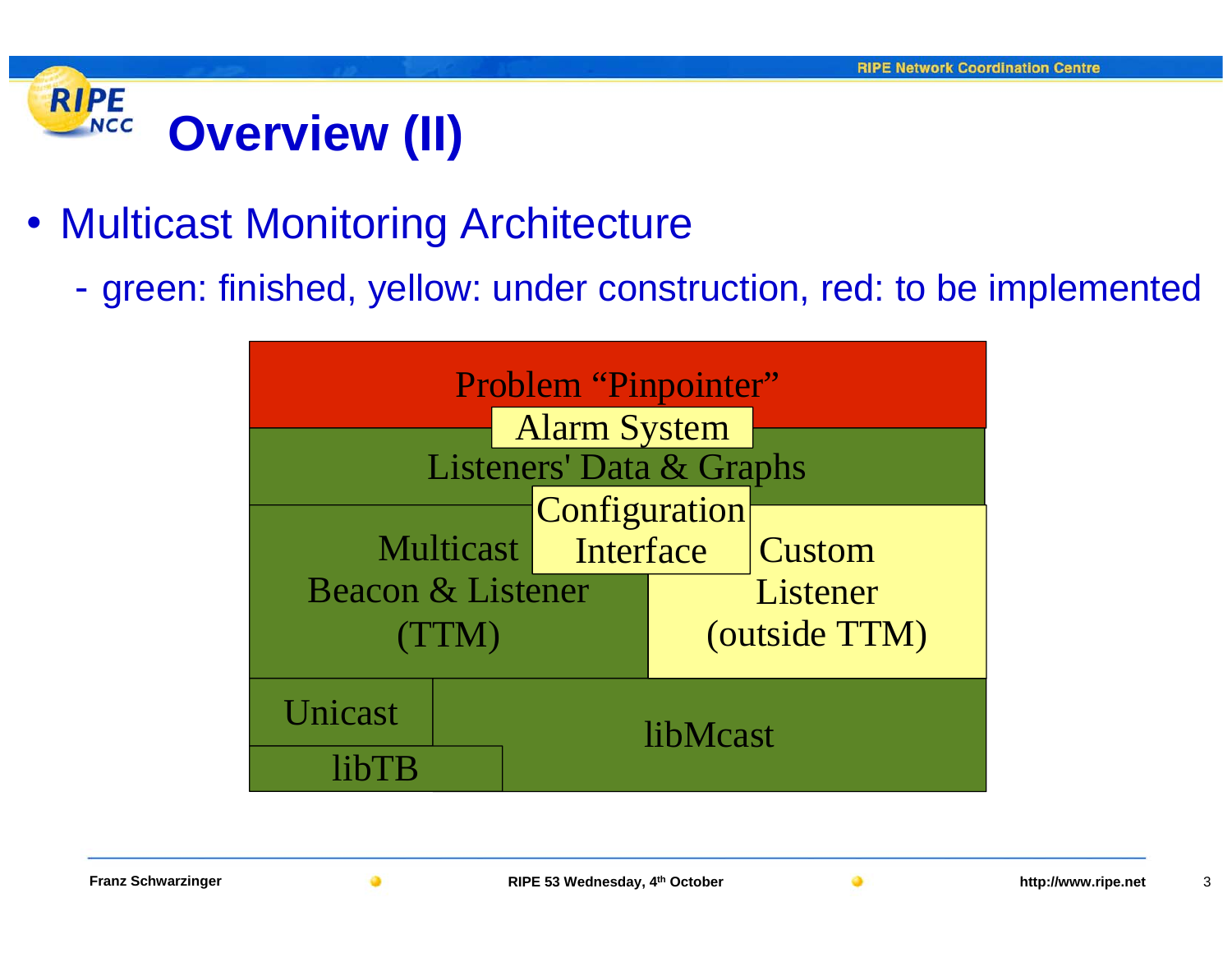#### **RIPE NCC Overview (II)**

- Multicast Monitoring Architecture
	- green: finished, yellow: under construction, red: to be implemented

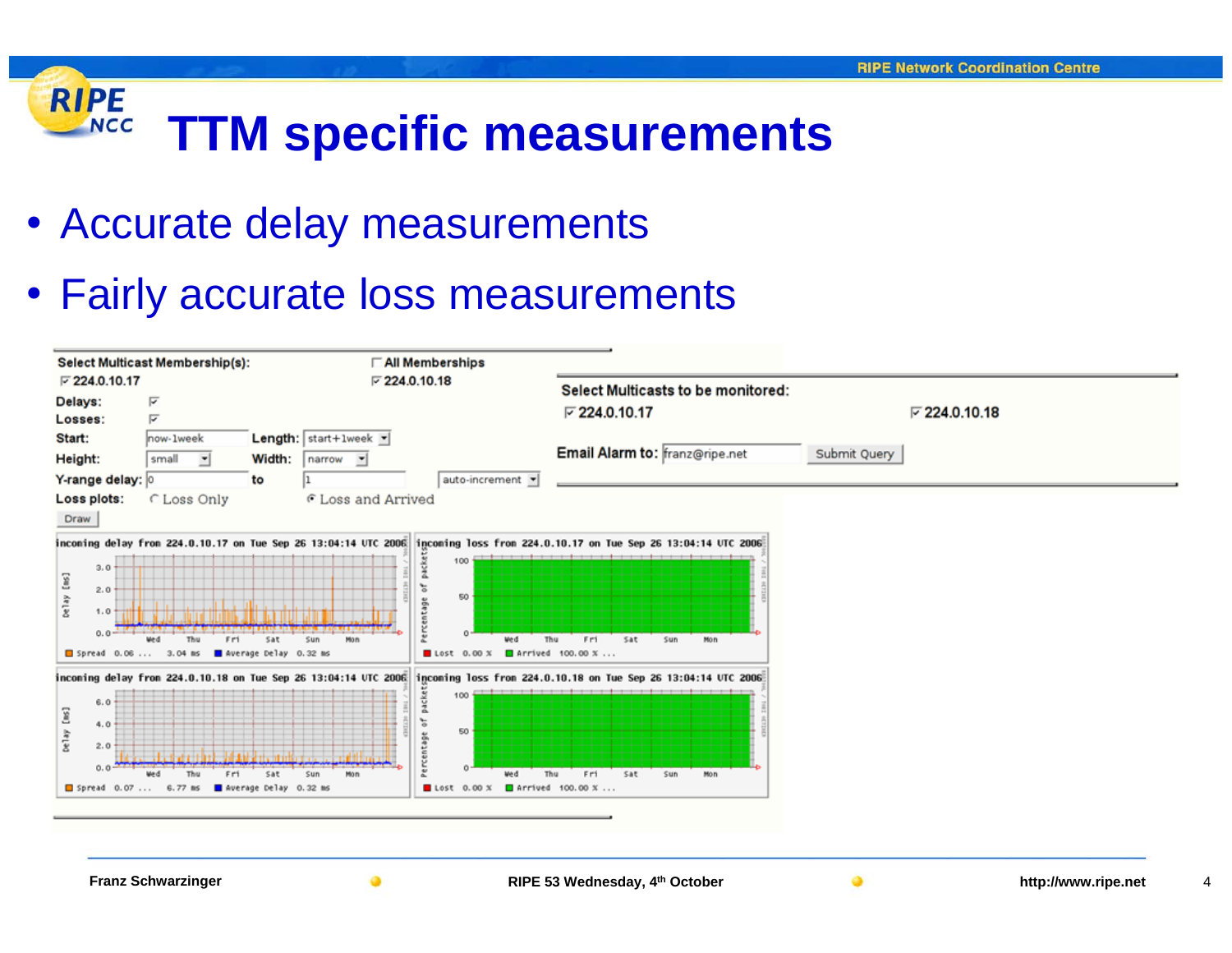#### **RIPE TTM specific measurements NCC**

• Accurate delay measurements

### • Fairly accurate loss measurements

| ⋤                        |                                                         |               |                                                                                                                                                  |                                                                                                                                                                                    |                                                                                                                                                                                                                                                      |  |  |  |
|--------------------------|---------------------------------------------------------|---------------|--------------------------------------------------------------------------------------------------------------------------------------------------|------------------------------------------------------------------------------------------------------------------------------------------------------------------------------------|------------------------------------------------------------------------------------------------------------------------------------------------------------------------------------------------------------------------------------------------------|--|--|--|
|                          | $\nabla$ 224.0.10.17<br>$\nabla$ 224.0.10.18<br>Delays: |               |                                                                                                                                                  | Select Multicasts to be monitored:                                                                                                                                                 |                                                                                                                                                                                                                                                      |  |  |  |
| ⋤                        |                                                         |               |                                                                                                                                                  | $\nabla$ 224.0.10.17                                                                                                                                                               | $\nabla$ 224.0.10.18                                                                                                                                                                                                                                 |  |  |  |
| now-1week                |                                                         |               |                                                                                                                                                  |                                                                                                                                                                                    | Submit Query                                                                                                                                                                                                                                         |  |  |  |
| small                    |                                                         |               |                                                                                                                                                  |                                                                                                                                                                                    |                                                                                                                                                                                                                                                      |  |  |  |
|                          | to                                                      |               | auto-increment -                                                                                                                                 |                                                                                                                                                                                    |                                                                                                                                                                                                                                                      |  |  |  |
| C Loss Only              |                                                         |               |                                                                                                                                                  |                                                                                                                                                                                    |                                                                                                                                                                                                                                                      |  |  |  |
|                          |                                                         |               |                                                                                                                                                  |                                                                                                                                                                                    |                                                                                                                                                                                                                                                      |  |  |  |
|                          |                                                         |               | 100                                                                                                                                              |                                                                                                                                                                                    |                                                                                                                                                                                                                                                      |  |  |  |
|                          |                                                         |               |                                                                                                                                                  |                                                                                                                                                                                    |                                                                                                                                                                                                                                                      |  |  |  |
|                          |                                                         |               | ğ                                                                                                                                                |                                                                                                                                                                                    |                                                                                                                                                                                                                                                      |  |  |  |
| Fri<br>We di<br>Thu      | Sat                                                     | sum<br>Mon    |                                                                                                                                                  | Sat<br>Mon<br>F P1<br>$S$ un                                                                                                                                                       |                                                                                                                                                                                                                                                      |  |  |  |
|                          |                                                         |               | $0.00 \times$<br>Lost                                                                                                                            |                                                                                                                                                                                    |                                                                                                                                                                                                                                                      |  |  |  |
|                          |                                                         |               |                                                                                                                                                  |                                                                                                                                                                                    |                                                                                                                                                                                                                                                      |  |  |  |
|                          |                                                         |               | 100                                                                                                                                              |                                                                                                                                                                                    |                                                                                                                                                                                                                                                      |  |  |  |
|                          |                                                         |               |                                                                                                                                                  |                                                                                                                                                                                    |                                                                                                                                                                                                                                                      |  |  |  |
|                          |                                                         |               | 50                                                                                                                                               |                                                                                                                                                                                    |                                                                                                                                                                                                                                                      |  |  |  |
|                          |                                                         |               |                                                                                                                                                  |                                                                                                                                                                                    |                                                                                                                                                                                                                                                      |  |  |  |
| Spread 0.07<br>$6.77$ ms |                                                         |               | Lost<br>$0.00 \times$                                                                                                                            |                                                                                                                                                                                    |                                                                                                                                                                                                                                                      |  |  |  |
| Y-range delay: 0         | Fri                                                     | Width:<br>Sat | <b>Length:</b> start+1week $\blacktriangleright$<br>narrow -<br>Spread 0.06  3.04 ms average Delay 0.32 ms<br>Món<br>Sun<br>werage Delay 0.32 ms | C Loss and Arrived<br>inconing delay from 224.0.10.17 on Tue Sep 26 13:04:14 UTC 2006<br>50<br>₩ęd<br>inconing delay from 224.0.10.18 on Tue Sep 26 13:04:14 UTC 2006<br>৳<br>We d | Email Alarm to: franz@ripe.net<br>incoming loss from 224.0.10.17 on Tue Sep 26 13:04:14 UTC 2006<br>Thu<br>Arrived 100.00 X<br>incoming loss from 224.0.10.18 on Tue Sep 26 13:04:14 UTC 2006<br>Sat<br>Thu<br>Fri<br>Sun<br>Mon<br>Arrived 100.00 X |  |  |  |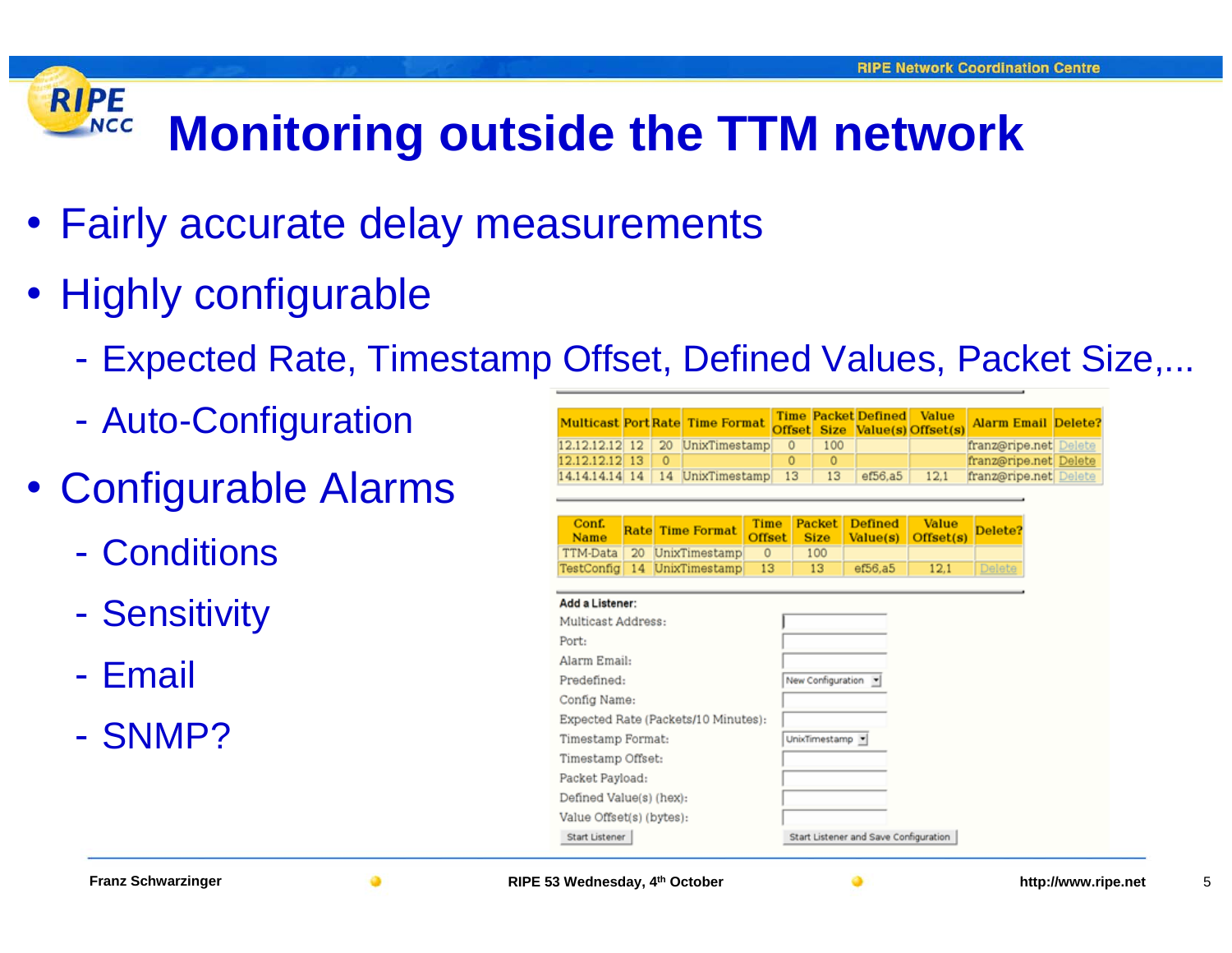#### **RIPE NCC Monitoring outside the TTM network**

- Fairly accurate delay measurements
- Highly configurable
	- -Expected Rate, Timestamp Offset, Defined Values, Packet Size,...
	- -- Auto-Configuration
- Configurable Alarms
	- Conditions
	- -- Sensitivity
	- Email
	- SNMP?

|                                     |    |              |                                        |               | <b>Time</b>                           |  |              | <b>Packet Defined</b> |  | <b>Value</b>       |                            |  |  |
|-------------------------------------|----|--------------|----------------------------------------|---------------|---------------------------------------|--|--------------|-----------------------|--|--------------------|----------------------------|--|--|
|                                     |    |              | <b>Multicast Port Rate Time Format</b> |               | <b>Offset</b>                         |  | <b>Size</b>  |                       |  | Value(s) Offset(s) | <b>Alarm Email Delete?</b> |  |  |
| 12.12.12.12                         | 12 | 20           | UnixTimestamp                          |               | 0                                     |  | 100          |                       |  |                    | franz@ripe.net Delete      |  |  |
| 12.12.12.12                         | 13 | $\mathbf{0}$ |                                        |               | $\ddot{\rm{o}}$                       |  | $\mathbf{0}$ |                       |  |                    | franz@ripe.net Delete      |  |  |
| 14.14.14.14 14                      |    | 14           | UnixTimestamp                          |               | 13                                    |  | 13           | ef56.a5               |  | 12,1               | franz@ripe.net Delete      |  |  |
|                                     |    |              |                                        |               |                                       |  |              |                       |  |                    |                            |  |  |
| Conf.                               |    |              |                                        | Time          |                                       |  | Packet       | <b>Defined</b>        |  | Value              |                            |  |  |
| Name                                |    |              | <b>Rate Time Format</b>                | <b>Offset</b> |                                       |  | <b>Size</b>  | Value(s)              |  | Offset(s)          | Delete?                    |  |  |
| TTM-Data                            | 20 |              | UnixTimestamp                          | $\Omega$      |                                       |  | 100          |                       |  |                    |                            |  |  |
| TestConfig                          | 14 |              | UnixTimestamp                          | 13            |                                       |  | 13           | ef56,a5               |  | 12.1               | Delete                     |  |  |
|                                     |    |              |                                        |               |                                       |  |              |                       |  |                    |                            |  |  |
| Add a Listener:                     |    |              |                                        |               |                                       |  |              |                       |  |                    |                            |  |  |
| Multicast Address:                  |    |              |                                        |               |                                       |  |              |                       |  |                    |                            |  |  |
| Port:                               |    |              |                                        |               |                                       |  |              |                       |  |                    |                            |  |  |
| Alarm Email:                        |    |              |                                        |               |                                       |  |              |                       |  |                    |                            |  |  |
| Predefined:                         |    |              |                                        |               | New Configuration -                   |  |              |                       |  |                    |                            |  |  |
| Config Name:                        |    |              |                                        |               |                                       |  |              |                       |  |                    |                            |  |  |
| Expected Rate (Packets/10 Minutes): |    |              |                                        |               |                                       |  |              |                       |  |                    |                            |  |  |
| Timestamp Format:                   |    |              |                                        |               | UnixTimestamp                         |  |              |                       |  |                    |                            |  |  |
| Timestamp Offset:                   |    |              |                                        |               |                                       |  |              |                       |  |                    |                            |  |  |
| Packet Payload:                     |    |              |                                        |               |                                       |  |              |                       |  |                    |                            |  |  |
| Defined Value(s) (hex):             |    |              |                                        |               |                                       |  |              |                       |  |                    |                            |  |  |
| Value Offset(s) (bytes):            |    |              |                                        |               |                                       |  |              |                       |  |                    |                            |  |  |
| Start Listener                      |    |              |                                        |               | Start Listener and Save Configuration |  |              |                       |  |                    |                            |  |  |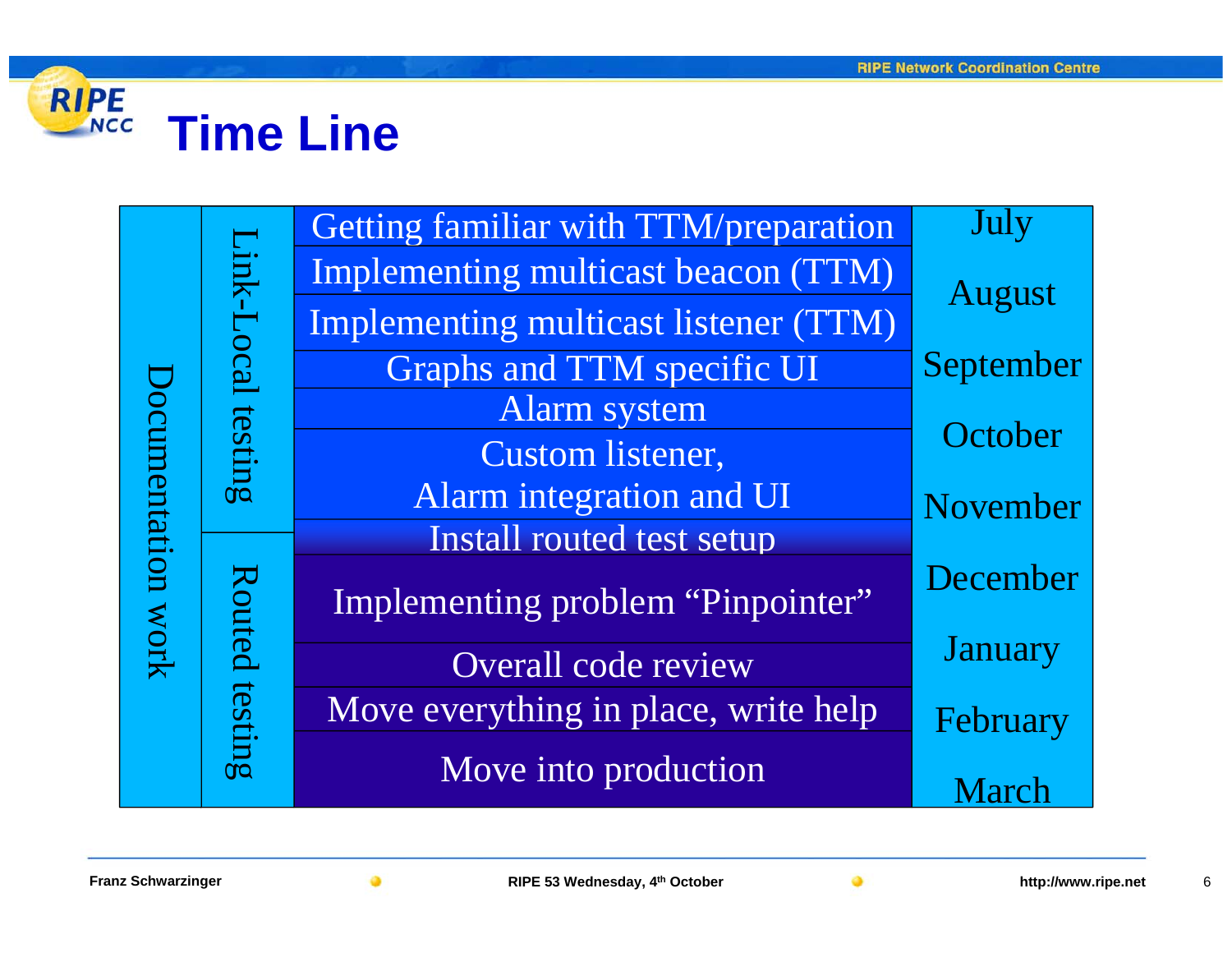

|                    |                       | Getting familiar with TTM/preparation | July           |  |  |
|--------------------|-----------------------|---------------------------------------|----------------|--|--|
| Occumentation work | Link-Local<br>testing | Implementing multicast beacon (TTM)   | August         |  |  |
|                    |                       | Implementing multicast listener (TTM) |                |  |  |
|                    |                       | <b>Graphs and TTM specific UI</b>     | September      |  |  |
|                    |                       | Alarm system                          |                |  |  |
|                    |                       | Custom listener,                      | October        |  |  |
|                    |                       | Alarm integration and UI              | November       |  |  |
|                    | Routed                | Install routed test setup             |                |  |  |
|                    |                       | Implementing problem "Pinpointer"     | December       |  |  |
|                    |                       | Overall code review                   | <b>January</b> |  |  |
|                    | testing               | Move everything in place, write help  | February       |  |  |
|                    |                       | Move into production                  | March          |  |  |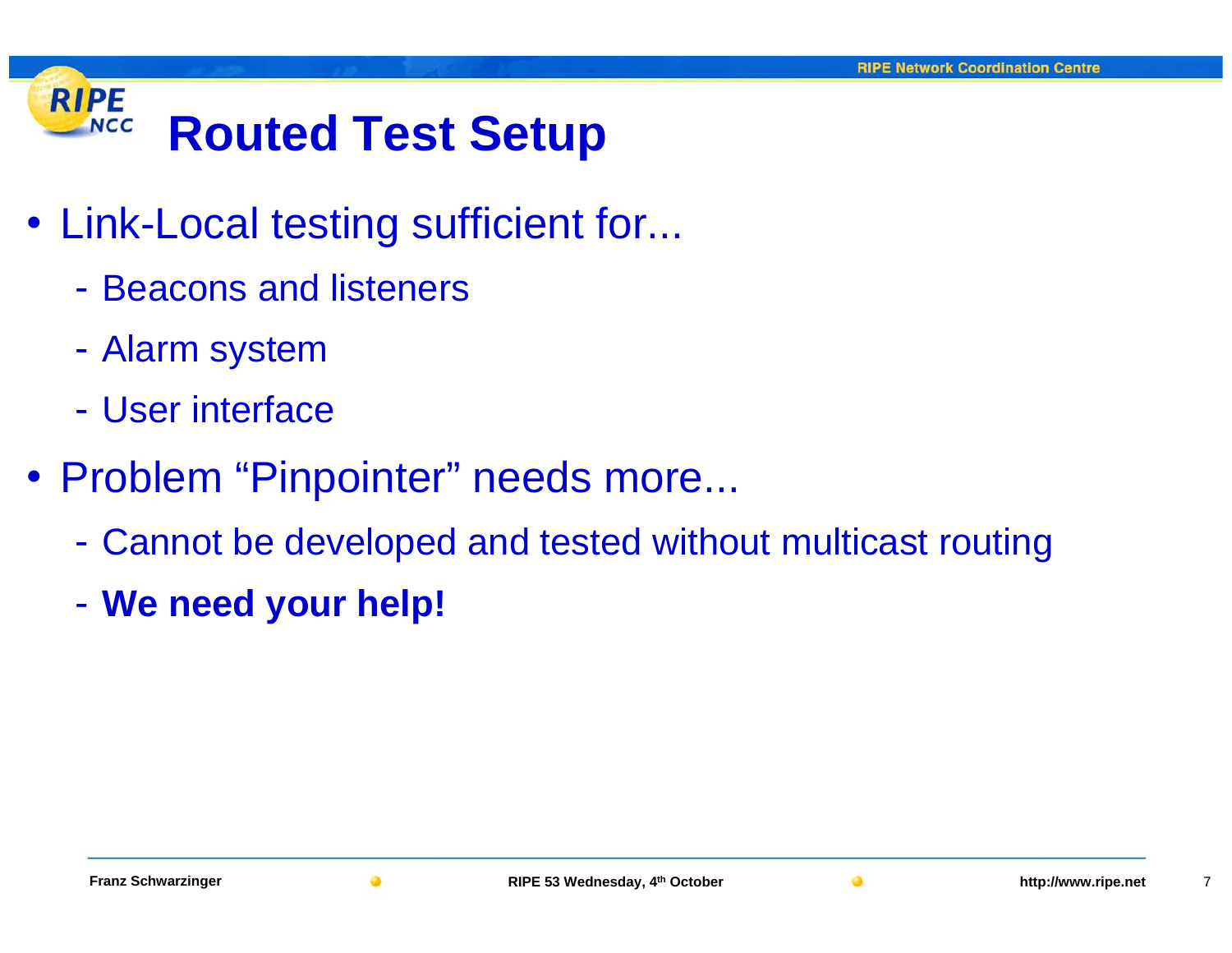#### **RIPE NCC Routed Test Setup**

- Link-Local testing sufficient for...
	- Beacons and listeners
	- -Alarm system
	- User interface
- Problem "Pinpointer" needs more...
	- -Cannot be developed and tested without multicast routing
	- -**We need your help!**